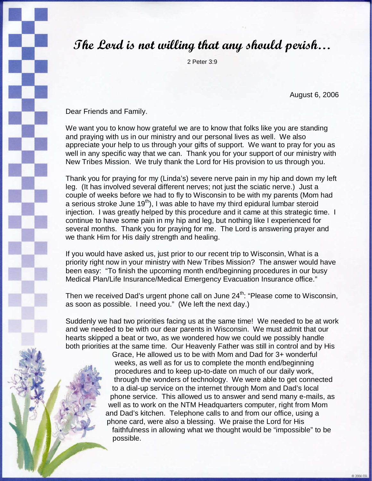## The Lord is not willing that any should perish…

2 Peter 3:9

August 6, 2006

Dear Friends and Family.

We want you to know how grateful we are to know that folks like you are standing and praying with us in our ministry and our personal lives as well. We also appreciate your help to us through your gifts of support. We want to pray for you as well in any specific way that we can. Thank you for your support of our ministry with New Tribes Mission. We truly thank the Lord for His provision to us through you.

Thank you for praying for my (Linda's) severe nerve pain in my hip and down my left leg. (It has involved several different nerves; not just the sciatic nerve.) Just a couple of weeks before we had to fly to Wisconsin to be with my parents (Mom had a serious stroke June  $19<sup>th</sup>$ ), I was able to have my third epidural lumbar steroid injection. I was greatly helped by this procedure and it came at this strategic time. I continue to have some pain in my hip and leg, but nothing like I experienced for several months. Thank you for praying for me. The Lord is answering prayer and we thank Him for His daily strength and healing.

If you would have asked us, just prior to our recent trip to Wisconsin, What is a priority right now in your ministry with New Tribes Mission? The answer would have been easy: "To finish the upcoming month end/beginning procedures in our busy Medical Plan/Life Insurance/Medical Emergency Evacuation Insurance office."

Then we received Dad's urgent phone call on June 24<sup>th</sup>: "Please come to Wisconsin, as soon as possible. I need you." (We left the next day.)

Suddenly we had two priorities facing us at the same time! We needed to be at work and we needed to be with our dear parents in Wisconsin. We must admit that our hearts skipped a beat or two, as we wondered how we could we possibly handle both priorities at the same time. Our Heavenly Father was still in control and by His

> Grace, He allowed us to be with Mom and Dad for 3+ wonderful weeks, as well as for us to complete the month end/beginning procedures and to keep up-to-date on much of our daily work, through the wonders of technology. We were able to get connected to a dial-up service on the internet through Mom and Dad's local phone service. This allowed us to answer and send many e-mails, as well as to work on the NTM Headquarters computer, right from Mom and Dad's kitchen. Telephone calls to and from our office, using a phone card, were also a blessing. We praise the Lord for His faithfulness in allowing what we thought would be "impossible" to be possible.